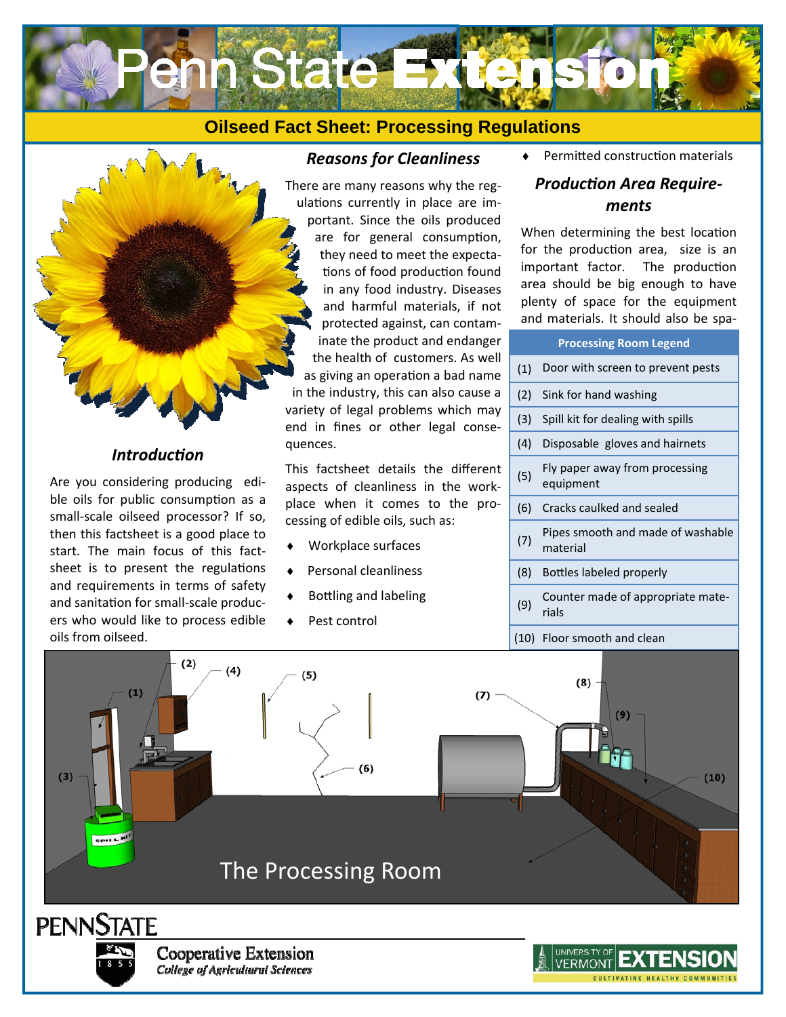



### *IntroducƟon*

Are you considering producing edible oils for public consumption as a small-scale oilseed processor? If so, then this factsheet is a good place to start. The main focus of this factsheet is to present the regulations and requirements in terms of safety and sanitation for small-scale producers who would like to process edible oils from oilseed.

## *Reasons for Cleanliness*

There are many reasons why the regulations currently in place are important. Since the oils produced are for general consumption, they need to meet the expectations of food production found in any food industry. Diseases and harmful materials, if not protected against, can contaminate the product and endange the health of customers. As we as giving an operation a bad name in the industry, this can also cause variety of legal problems which ma end in fines or other legal conse quences.

This factsheet details the different aspects of cleanliness in the workplace when it comes to the processing of edible oils, such as:

- Workplace surfaces
- Personal cleanliness
- Bottling and labeling
- Pest control

◆ Permitted construction materials

## **Production Area Require***ments*

When determining the best location for the production area, size is an important factor. The production area should be big enough to have plenty of space for the equipment and materials. It should also be spa-

|     | <b>Processing Room Legend</b>                 |
|-----|-----------------------------------------------|
| (1) | Door with screen to prevent pests             |
| (2) | Sink for hand washing                         |
| (3) | Spill kit for dealing with spills             |
| (4) | Disposable gloves and hairnets                |
| (5) | Fly paper away from processing<br>equipment   |
| (6) | Cracks caulked and sealed                     |
| (7) | Pipes smooth and made of washable<br>material |
| (8) | Bottles labeled properly                      |
| (9) | Counter made of appropriate mate-<br>rials    |
|     |                                               |

(10) Floor smooth and clean

CULTIVATING HEALTHY COMMUNITIE

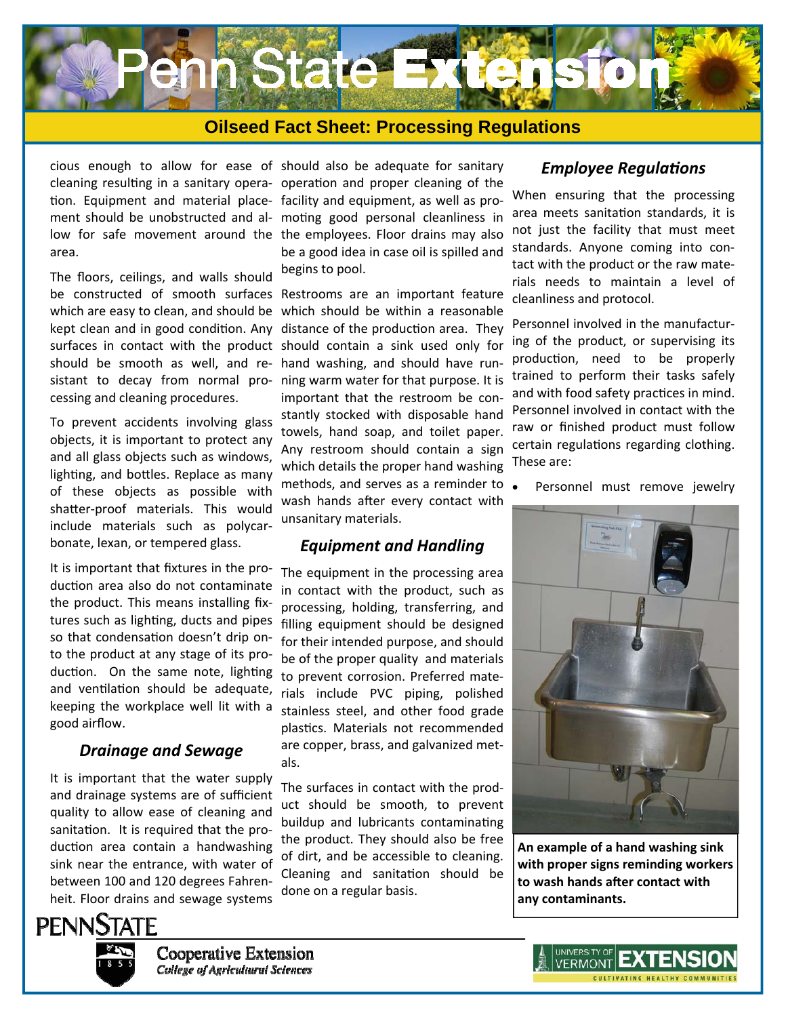

cious enough to allow for ease of should also be adequate for sanitary cleaning resulting in a sanitary opera- operation and proper cleaning of the tion. Equipment and material place- facility and equipment, as well as proment should be unobstructed and al- moting good personal cleanliness in low for safe movement around the the employees. Floor drains may also area.

The floors, ceilings, and walls should be constructed of smooth surfaces Restrooms are an important feature which are easy to clean, and should be kept clean and in good condition. Any surfaces in contact with the product should be smooth as well, and resistant to decay from normal processing and cleaning procedures.

To prevent accidents involving glass objects, it is important to protect any and all glass objects such as windows, lighting, and bottles. Replace as many of these objects as possible with shatter-proof materials. This would include materials such as polycarbonate, lexan, or tempered glass.

It is important that fixtures in the production area also do not contaminate the product. This means installing fixtures such as lighting, ducts and pipes so that condensation doesn't drip onto the product at any stage of its production. On the same note, lighting and ventilation should be adequate, keeping the workplace well lit with a good airflow.

#### *Drainage and Sewage*

It is important that the water supply and drainage systems are of sufficient quality to allow ease of cleaning and sanitation. It is required that the production area contain a handwashing sink near the entrance, with water of between 100 and 120 degrees Fahrenheit. Floor drains and sewage systems

be a good idea in case oil is spilled and begins to pool.

which should be within a reasonable distance of the production area. They should contain a sink used only for hand washing, and should have running warm water for that purpose. It is important that the restroom be constantly stocked with disposable hand towels, hand soap, and toilet paper. Any restroom should contain a sign which details the proper hand washing methods, and serves as a reminder to wash hands after every contact with unsanitary materials.

#### *Equipment and Handling*

The equipment in the processing area in contact with the product, such as processing, holding, transferring, and filling equipment should be designed for their intended purpose, and should be of the proper quality and materials to prevent corrosion. Preferred materials include PVC piping, polished stainless steel, and other food grade plastics. Materials not recommended are copper, brass, and galvanized metals.

The surfaces in contact with the product should be smooth, to prevent buildup and lubricants contaminating the product. They should also be free of dirt, and be accessible to cleaning. Cleaning and sanitation should be done on a regular basis.

#### *Employee RegulaƟons*

When ensuring that the processing area meets sanitation standards, it is not just the facility that must meet standards. Anyone coming into contact with the product or the raw materials needs to maintain a level of cleanliness and protocol.

Personnel involved in the manufacturing of the product, or supervising its production, need to be properly trained to perform their tasks safely and with food safety practices in mind. Personnel involved in contact with the raw or finished product must follow certain regulations regarding clothing. These are:

Personnel must remove jewelry



**An example of a hand washing sink with proper signs reminding workers to wash hands after contact with any contaminants.** 



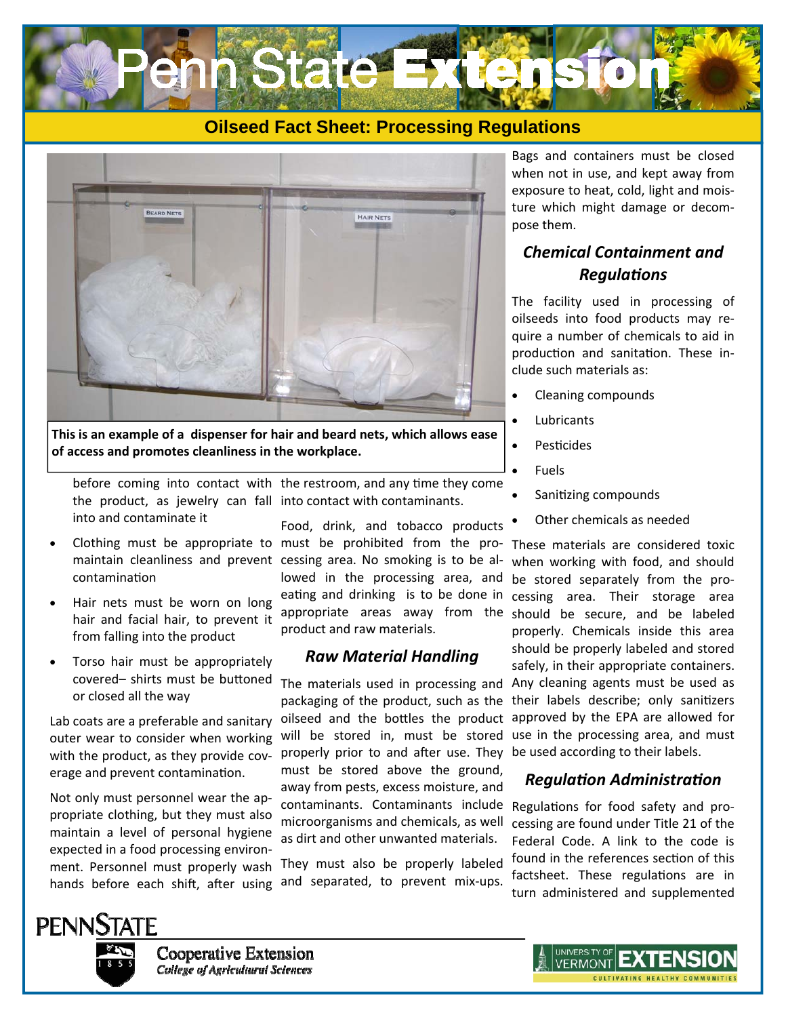



**This is an example of a dispenser for hair and beard nets, which allows ease of access and promotes cleanliness in the workplace.** 

before coming into contact with the restroom, and any time they come the product, as jewelry can fall into contact with contaminants. into and contaminate it

 Clothing must be appropriate to must be prohibited from the procontaminaƟon

- Hair nets must be worn on long hair and facial hair, to prevent it from falling into the product
- Torso hair must be appropriately covered- shirts must be buttoned or closed all the way

Lab coats are a preferable and sanitary outer wear to consider when working with the product, as they provide coverage and prevent contamination.

Not only must personnel wear the appropriate clothing, but they must also maintain a level of personal hygiene expected in a food processing environment. Personnel must properly wash hands before each shift, after using

maintain cleanliness and prevent cessing area. No smoking is to be al-Food, drink, and tobacco products lowed in the processing area, and eating and drinking is to be done in appropriate areas away from the product and raw materials.

#### *Raw Material Handling*

The materials used in processing and packaging of the product, such as the oilseed and the bottles the product will be stored in, must be stored properly prior to and after use. They be used according to their labels. must be stored above the ground, away from pests, excess moisture, and contaminants. Contaminants include Regulations for food safety and promicroorganisms and chemicals, as well as dirt and other unwanted materials.

They must also be properly labeled and separated, to prevent mix-ups.

Bags and containers must be closed when not in use, and kept away from exposure to heat, cold, light and moisture which might damage or decompose them.

## *Chemical Containment and RegulaƟons*

The facility used in processing of oilseeds into food products may require a number of chemicals to aid in production and sanitation. These include such materials as:

- Cleaning compounds
- Lubricants
- **Pesticides**
- Fuels
- Sanitizing compounds
- Other chemicals as needed

These materials are considered toxic when working with food, and should be stored separately from the processing area. Their storage area should be secure, and be labeled properly. Chemicals inside this area should be properly labeled and stored safely, in their appropriate containers. Any cleaning agents must be used as their labels describe; only sanitizers approved by the EPA are allowed for use in the processing area, and must

## *RegulaƟon AdministraƟon*

cessing are found under Title 21 of the Federal Code. A link to the code is found in the references section of this factsheet. These regulations are in turn administered and supplemented